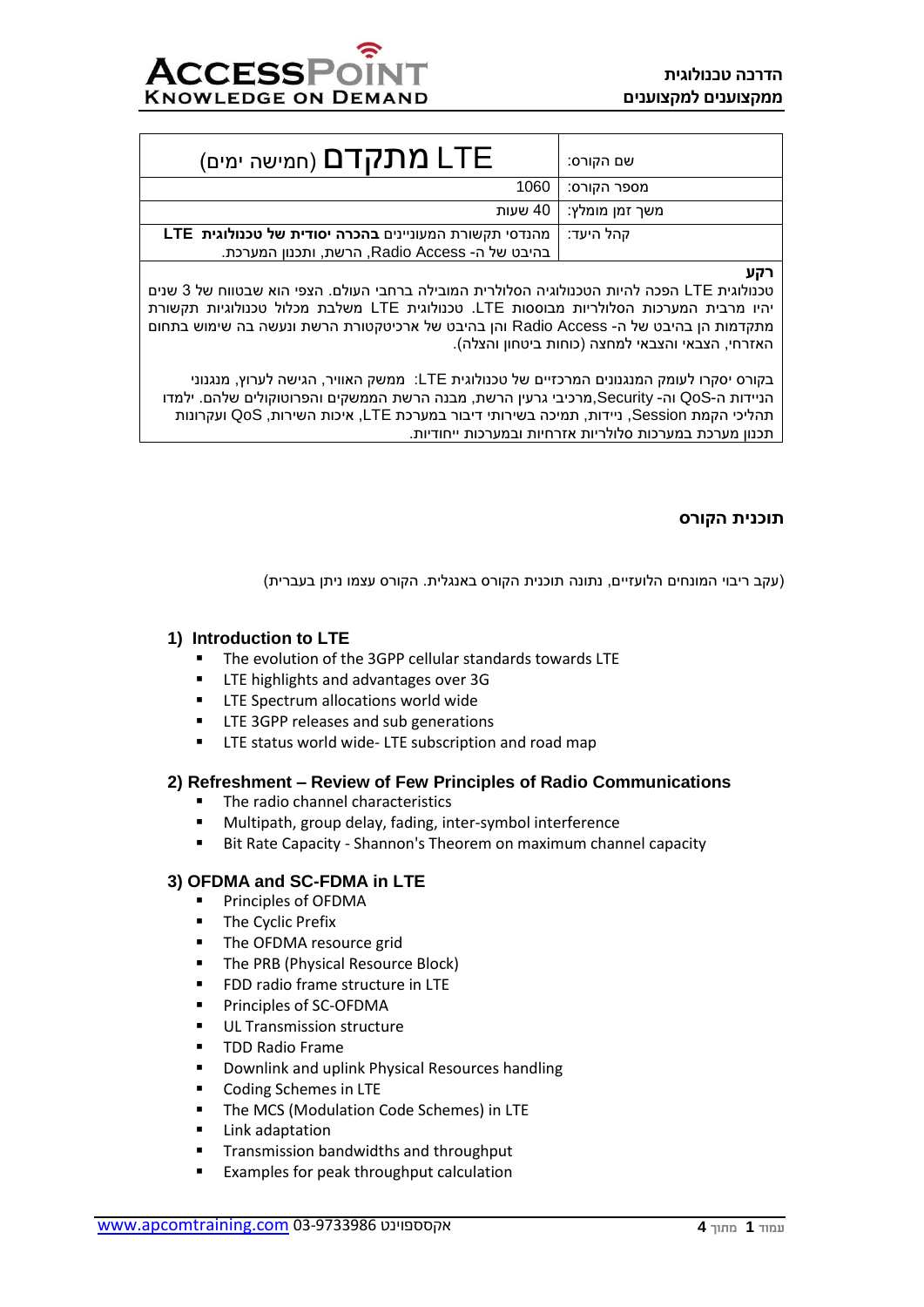| <b>LTE מתקדם</b> (חמישה ימים)                                                                            | שם הקורס:                |
|----------------------------------------------------------------------------------------------------------|--------------------------|
|                                                                                                          | מספר הקורס:   1060       |
|                                                                                                          | משך זמן מומלץ:   40 שעות |
| מהנדסי תקשורת המעוניינים בהכרה יסודית של טכנולוגית LTE<br>בהיבט של ה- Radio Access, הרשת, ותכנון המערכת. | קהל היעד:                |

**רקע**

טכנולוגית LTE הפכה להיות הטכנולוגיה הסלולרית המובילה ברחבי העולם. הצפי הוא שבטווח של 3 שנים יהיו מרבית המערכות הסלולריות מבוססות LTE. טכנולוגית LTE משלבת מכלול טכנולוגיות תקשורת מתקדמות הן בהיבט של ה- Access Radio והן בהיבט של ארכיטקטורת הרשת ונעשה בה שימוש בתחום האזרחי, הצבאי והצבאי למחצה (כוחות ביטחון והצלה).

בקורס יסקרו לעומק המנגנונים המרכזיים של טכנולוגית LTE: ממשק האוויר, הגישה לערוץ, מנגנוני הניידות ה-QoS וה- Security,מרכיבי גרעין הרשת, מבנה הרשת הממשקים והפרוטוקולים שלהם. ילמדו תהליכי הקמת Session, ניידות, תמיכה בשירותי דיבור במערכת LTE, איכות השירות, QoS ועקרונות תכנון מערכת במערכות סלולריות אזרחיות ובמערכות ייחודיות.

#### **תוכנית הקורס**

)עקב ריבוי המונחים הלועזיים, נתונה תוכנית הקורס באנגלית. הקורס עצמו ניתן בעברית(

### **1) Introduction to LTE**

- The evolution of the 3GPP cellular standards towards LTE
- LTE highlights and advantages over 3G
- LTE Spectrum allocations world wide
- LTE 3GPP releases and sub generations
- LTE status world wide- LTE subscription and road map

## **2) Refreshment – Review of Few Principles of Radio Communications**

- The radio channel characteristics
- Multipath, group delay, fading, inter-symbol interference
- Bit Rate Capacity Shannon's Theorem on maximum channel capacity

## **3) OFDMA and SC-FDMA in LTE**

- Principles of OFDMA
- **·** The Cyclic Prefix
- The OFDMA resource grid
- **The PRB (Physical Resource Block)**
- FDD radio frame structure in LTE
- Principles of SC-OFDMA
- UL Transmission structure
- **TDD Radio Frame**
- Downlink and uplink Physical Resources handling
- Coding Schemes in LTE
- The MCS (Modulation Code Schemes) in LTE
- Link adaptation
- Transmission bandwidths and throughput
- Examples for peak throughput calculation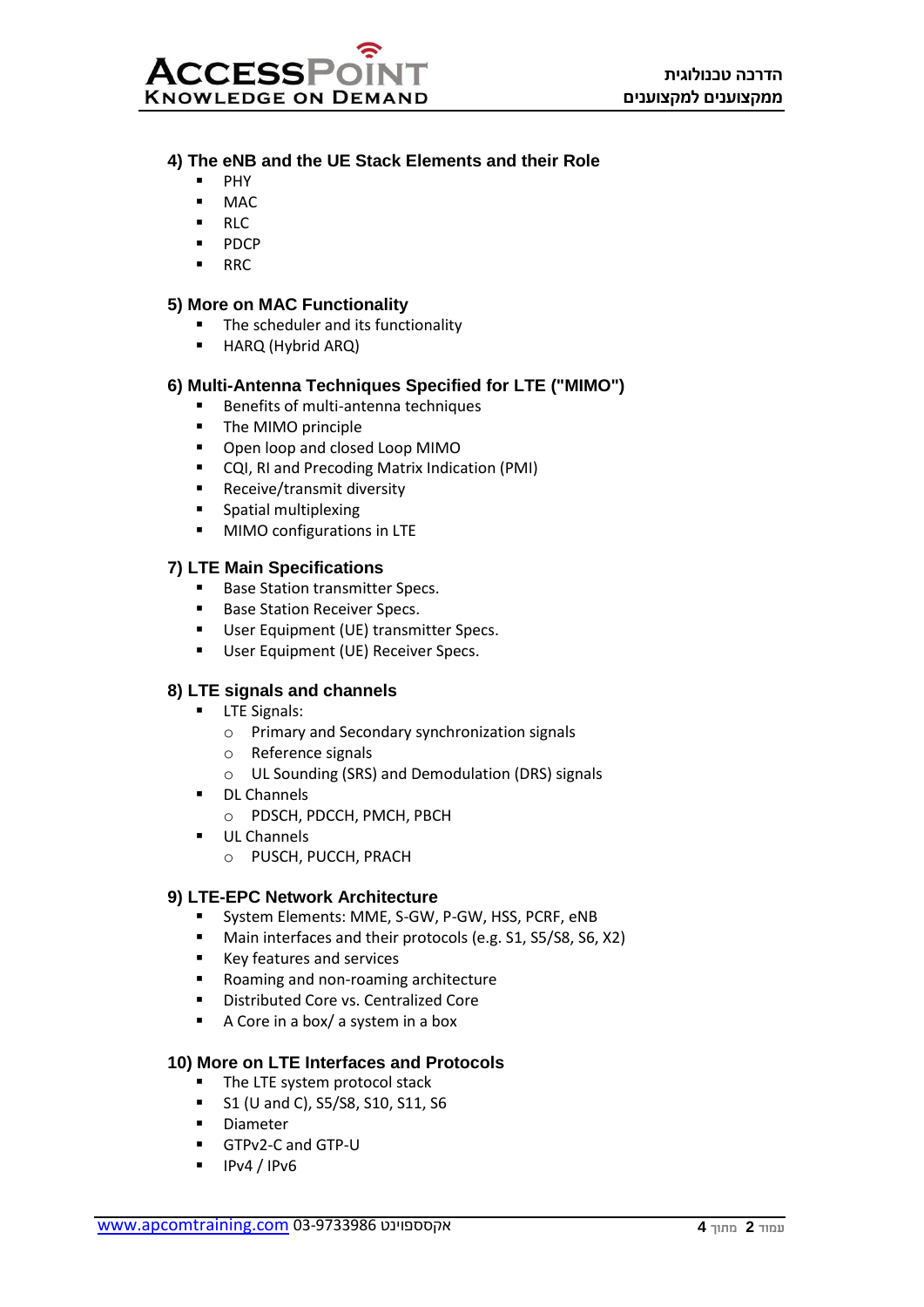

# **4) The eNB and the UE Stack Elements and their Role**

- PHY
- $MAC$
- RLC
- PDCP
- RRC

## **5) More on MAC Functionality**

- The scheduler and its functionality
- HARQ (Hybrid ARQ)

# **6) Multi-Antenna Techniques Specified for LTE ("MIMO")**

- Benefits of multi-antenna techniques
- The MIMO principle
- Open loop and closed Loop MIMO
- CQI, RI and Precoding Matrix Indication (PMI)
- Receive/transmit diversity
- Spatial multiplexing
- MIMO configurations in LTE

## **7) LTE Main Specifications**

- Base Station transmitter Specs.
- Base Station Receiver Specs.
- User Equipment (UE) transmitter Specs.
- User Equipment (UE) Receiver Specs.

## **8) LTE signals and channels**

- **LTE Signals:** 
	- o Primary and Secondary synchronization signals
	- o Reference signals
	- o UL Sounding (SRS) and Demodulation (DRS) signals
- DL Channels
	- o PDSCH, PDCCH, PMCH, PBCH
- UL Channels
	- o PUSCH, PUCCH, PRACH

#### **9) LTE-EPC Network Architecture**

- System Elements: MME, S-GW, P-GW, HSS, PCRF, eNB
- Main interfaces and their protocols (e.g. S1, S5/S8, S6, X2)
- Key features and services
- Roaming and non-roaming architecture
- Distributed Core vs. Centralized Core
- A Core in a box/ a system in a box

## **10) More on LTE Interfaces and Protocols**

- The LTE system protocol stack
- S1 (U and C), S5/S8, S10, S11, S6
- Diameter
- GTPv2-C and GTP-U
- $\blacksquare$  IPv4 / IPv6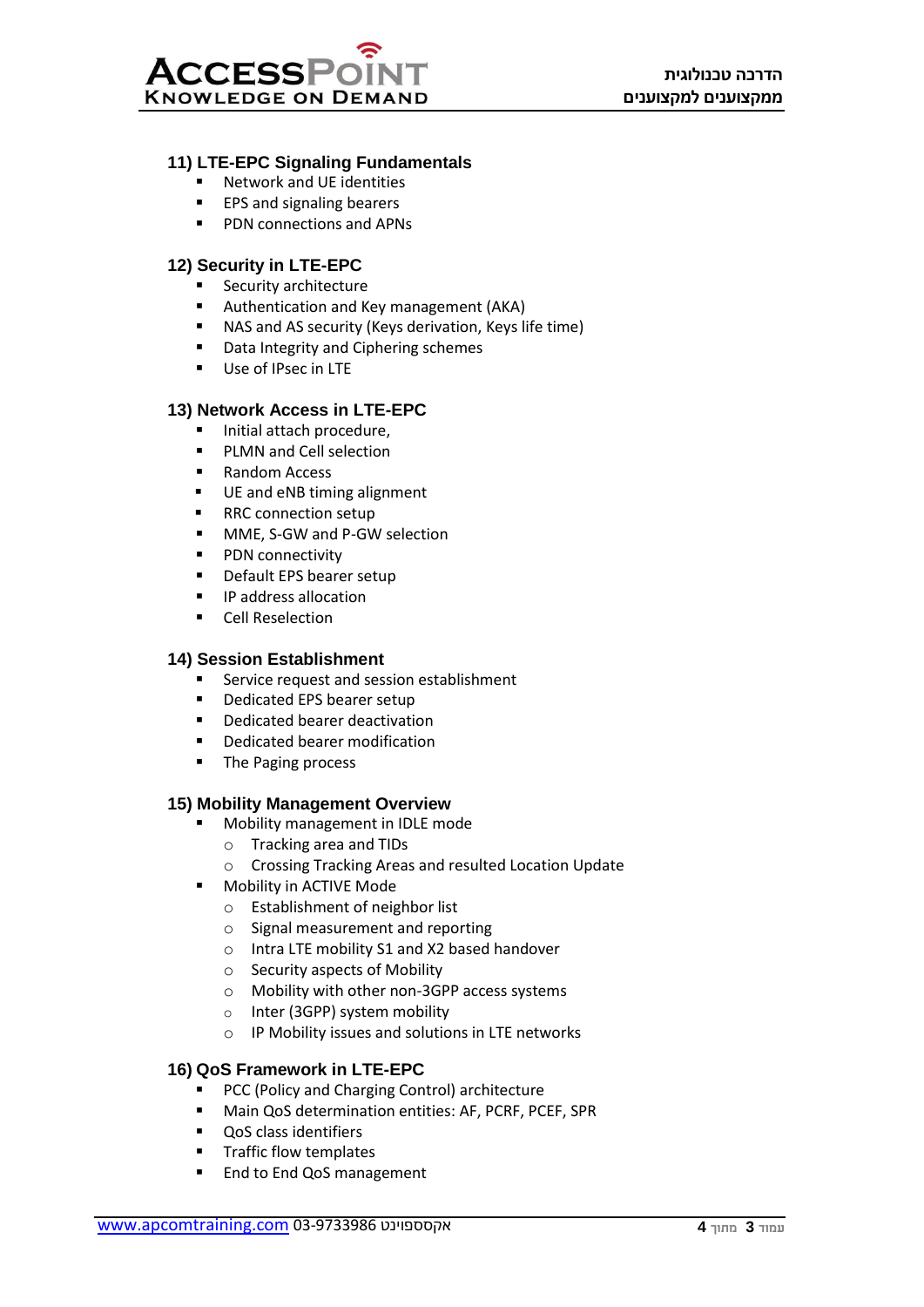## **11) LTE-EPC Signaling Fundamentals**

- Network and UE identities
- EPS and signaling bearers
- PDN connections and APNs

# **12) Security in LTE-EPC**

- Security architecture
- Authentication and Key management (AKA)
- NAS and AS security (Keys derivation, Keys life time)
- Data Integrity and Ciphering schemes
- Use of IPsec in LTE

# **13) Network Access in LTE-EPC**

- Initial attach procedure,
- PLMN and Cell selection
- Random Access
- UE and eNB timing alignment
- RRC connection setup
- MME, S-GW and P-GW selection
- PDN connectivity
- Default EPS bearer setup
- IP address allocation
- Cell Reselection

## **14) Session Establishment**

- Service request and session establishment
- Dedicated EPS bearer setup
- Dedicated bearer deactivation
- Dedicated bearer modification
- The Paging process

## **15) Mobility Management Overview**

- Mobility management in IDLE mode
	- o Tracking area and TIDs
	- o Crossing Tracking Areas and resulted Location Update
- **Mobility in ACTIVE Mode** 
	- o Establishment of neighbor list
	- o Signal measurement and reporting
	- o Intra LTE mobility S1 and X2 based handover
	- o Security aspects of Mobility
	- o Mobility with other non-3GPP access systems
	- o Inter (3GPP) system mobility
	- o IP Mobility issues and solutions in LTE networks

## **16) QoS Framework in LTE-EPC**

- PCC (Policy and Charging Control) architecture
- Main QoS determination entities: AF, PCRF, PCEF, SPR
- QoS class identifiers
- Traffic flow templates
- End to End QoS management